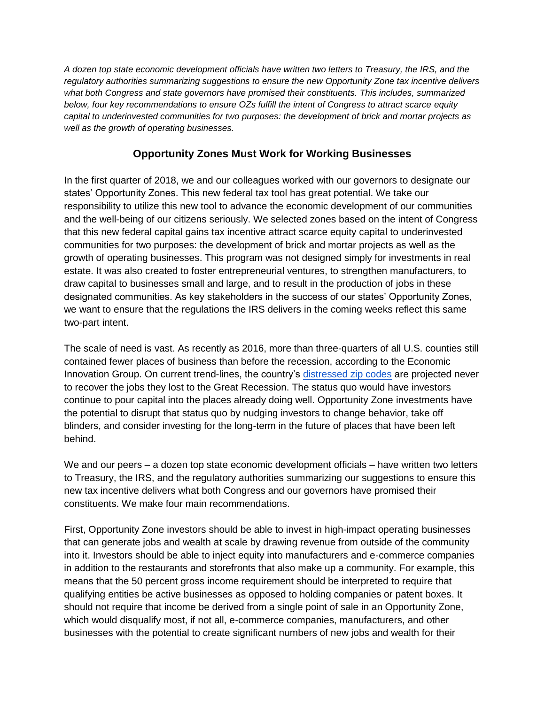*A dozen top state economic development officials have written two letters to Treasury, the IRS, and the regulatory authorities summarizing suggestions to ensure the new Opportunity Zone tax incentive delivers what both Congress and state governors have promised their constituents. This includes, summarized below, four key recommendations to ensure OZs fulfill the intent of Congress to attract scarce equity capital to underinvested communities for two purposes: the development of brick and mortar projects as well as the growth of operating businesses.*

## **Opportunity Zones Must Work for Working Businesses**

In the first quarter of 2018, we and our colleagues worked with our governors to designate our states' Opportunity Zones. This new federal tax tool has great potential. We take our responsibility to utilize this new tool to advance the economic development of our communities and the well-being of our citizens seriously. We selected zones based on the intent of Congress that this new federal capital gains tax incentive attract scarce equity capital to underinvested communities for two purposes: the development of brick and mortar projects as well as the growth of operating businesses. This program was not designed simply for investments in real estate. It was also created to foster entrepreneurial ventures, to strengthen manufacturers, to draw capital to businesses small and large, and to result in the production of jobs in these designated communities. As key stakeholders in the success of our states' Opportunity Zones, we want to ensure that the regulations the IRS delivers in the coming weeks reflect this same two-part intent.

The scale of need is vast. As recently as 2016, more than three-quarters of all U.S. counties still contained fewer places of business than before the recession, according to the Economic Innovation Group. On current trend-lines, the country's [distressed zip codes](http://eig.org/dci) are projected never to recover the jobs they lost to the Great Recession. The status quo would have investors continue to pour capital into the places already doing well. Opportunity Zone investments have the potential to disrupt that status quo by nudging investors to change behavior, take off blinders, and consider investing for the long-term in the future of places that have been left behind.

We and our peers – a dozen top state economic development officials – have written two letters to Treasury, the IRS, and the regulatory authorities summarizing our suggestions to ensure this new tax incentive delivers what both Congress and our governors have promised their constituents. We make four main recommendations.

First, Opportunity Zone investors should be able to invest in high-impact operating businesses that can generate jobs and wealth at scale by drawing revenue from outside of the community into it. Investors should be able to inject equity into manufacturers and e-commerce companies in addition to the restaurants and storefronts that also make up a community. For example, this means that the 50 percent gross income requirement should be interpreted to require that qualifying entities be active businesses as opposed to holding companies or patent boxes. It should not require that income be derived from a single point of sale in an Opportunity Zone, which would disqualify most, if not all, e-commerce companies, manufacturers, and other businesses with the potential to create significant numbers of new jobs and wealth for their